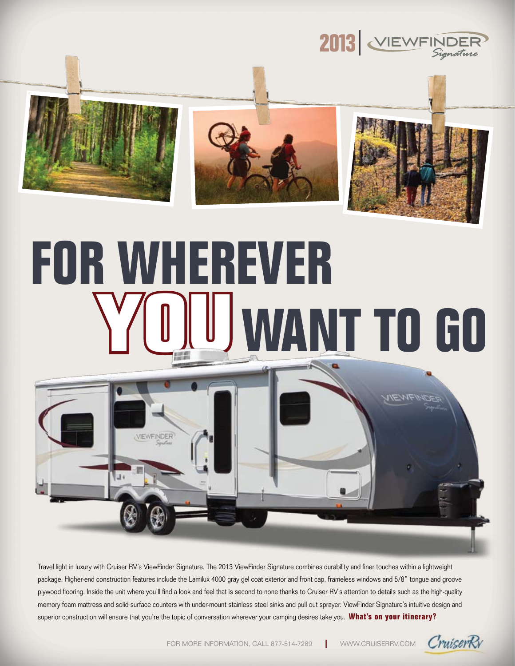

## **For Wherever WANT TO GO**



Travel light in luxury with Cruiser RV's ViewFinder Signature. The 2013 ViewFinder Signature combines durability and finer touches within a lightweight package. Higher-end construction features include the Lamilux 4000 gray gel coat exterior and front cap, frameless windows and 5/8" tongue and groove plywood flooring. Inside the unit where you'll find a look and feel that is second to none thanks to Cruiser RV's attention to details such as the high-quality memory foam mattress and solid surface counters with under-mount stainless steel sinks and pull out sprayer. ViewFinder Signature's intuitive design and superior construction will ensure that you're the topic of conversation wherever your camping desires take you. **What's on your itinerary?**